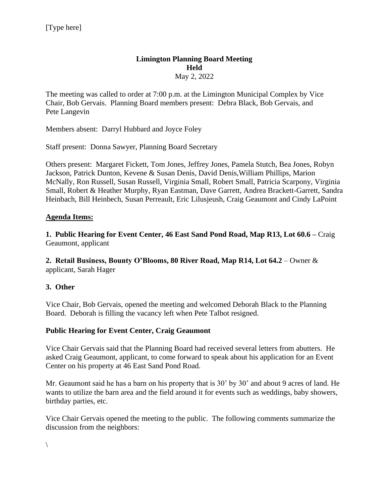## **Limington Planning Board Meeting Held**  May 2, 2022

The meeting was called to order at 7:00 p.m. at the Limington Municipal Complex by Vice Chair, Bob Gervais. Planning Board members present: Debra Black, Bob Gervais, and Pete Langevin

Members absent: Darryl Hubbard and Joyce Foley

Staff present: Donna Sawyer, Planning Board Secretary

Others present: Margaret Fickett, Tom Jones, Jeffrey Jones, Pamela Stutch, Bea Jones, Robyn Jackson, Patrick Dunton, Kevene & Susan Denis, David Denis,William Phillips, Marion McNally, Ron Russell, Susan Russell, Virginia Small, Robert Small, Patricia Scarpony, Virginia Small, Robert & Heather Murphy, Ryan Eastman, Dave Garrett, Andrea Brackett-Garrett, Sandra Heinbach, Bill Heinbech, Susan Perreault, Eric Lilusjeush, Craig Geaumont and Cindy LaPoint

## **Agenda Items:**

**1. Public Hearing for Event Center, 46 East Sand Pond Road, Map R13, Lot 60.6 –** Craig Geaumont, applicant

**2. Retail Business, Bounty O'Blooms, 80 River Road, Map R14, Lot 64.2** – Owner & applicant, Sarah Hager

# **3. Other**

Vice Chair, Bob Gervais, opened the meeting and welcomed Deborah Black to the Planning Board. Deborah is filling the vacancy left when Pete Talbot resigned.

## **Public Hearing for Event Center, Craig Geaumont**

Vice Chair Gervais said that the Planning Board had received several letters from abutters. He asked Craig Geaumont, applicant, to come forward to speak about his application for an Event Center on his property at 46 East Sand Pond Road.

Mr. Geaumont said he has a barn on his property that is 30' by 30' and about 9 acres of land. He wants to utilize the barn area and the field around it for events such as weddings, baby showers, birthday parties, etc.

Vice Chair Gervais opened the meeting to the public. The following comments summarize the discussion from the neighbors: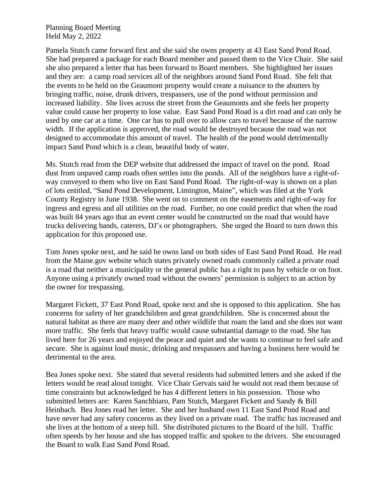Planning Board Meeting Held May 2, 2022

Pamela Stutch came forward first and she said she owns property at 43 East Sand Pond Road. She had prepared a package for each Board member and passed them to the Vice Chair. She said she also prepared a letter that has been forward to Board members. She highlighted her issues and they are: a camp road services all of the neighbors around Sand Pond Road. She felt that the events to be held on the Geaumont property would create a nuisance to the abutters by bringing traffic, noise, drunk drivers, trespassers, use of the pond without permission and increased liability. She lives across the street from the Geaumonts and she feels her property value could cause her property to lose value. East Sand Pond Road is a dirt road and can only be used by one car at a time. One car has to pull over to allow cars to travel because of the narrow width. If the application is approved, the road would be destroyed because the road was not designed to accommodate this amount of travel. The health of the pond would detrimentally impact Sand Pond which is a clean, beautiful body of water.

Ms. Stutch read from the DEP website that addressed the impact of travel on the pond. Road dust from unpaved camp roads often settles into the ponds. All of the neighbors have a right-ofway conveyed to them who live on East Sand Pond Road. The right-of-way is shown on a plan of lots entitled, "Sand Pond Development, Limington, Maine", which was filed at the York County Registry in June 1938. She went on to comment on the easements and right-of-way for ingress and egress and all utilities on the road. Further, no one could predict that when the road was built 84 years ago that an event center would be constructed on the road that would have trucks delivering bands, caterers, DJ's or photographers. She urged the Board to turn down this application for this proposed use.

Tom Jones spoke next, and he said he owns land on both sides of East Sand Pond Road. He read from the Maine.gov website which states privately owned roads commonly called a private road is a road that neither a municipality or the general public has a right to pass by vehicle or on foot. Anyone using a privately owned road without the owners' permission is subject to an action by the owner for trespassing.

Margaret Fickett, 37 East Pond Road, spoke next and she is opposed to this application. She has concerns for safety of her grandchildren and great grandchildren. She is concerned about the natural habitat as there are many deer and other wildlife that roam the land and she does not want more traffic. She feels that heavy traffic would cause substantial damage to the road. She has lived here for 26 years and enjoyed the peace and quiet and she wants to continue to feel safe and secure. She is against loud music, drinking and trespassers and having a business here would be detrimental to the area.

Bea Jones spoke next. She stated that several residents had submitted letters and she asked if the letters would be read aloud tonight. Vice Chair Gervais said he would not read them because of time constraints but acknowledged he has 4 different letters in his possession. Those who submitted letters are: Karen Sanchhiaro, Pam Stutch, Margaret Fickett and Sandy & Bill Heinbach. Bea Jones read her letter. She and her husband own 11 East Sand Pond Road and have never had any safety concerns as they lived on a private road. The traffic has increased and she lives at the bottom of a steep hill. She distributed pictures to the Board of the hill. Traffic often speeds by her house and she has stopped traffic and spoken to the drivers. She encouraged the Board to walk East Sand Pond Road.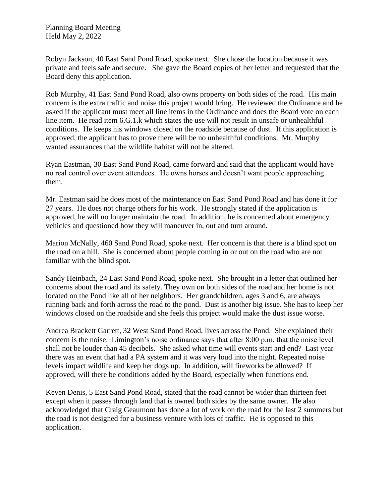Robyn Jackson, 40 East Sand Pond Road, spoke next. She chose the location because it was private and feels safe and secure. She gave the Board copies of her letter and requested that the Board deny this application.

Rob Murphy, 41 East Sand Pond Road, also owns property on both sides of the road. His main concern is the extra traffic and noise this project would bring. He reviewed the Ordinance and he asked if the applicant must meet all line items in the Ordinance and does the Board vote on each line item. He read item 6.G.1.k which states the use will not result in unsafe or unhealthful conditions. He keeps his windows closed on the roadside because of dust. If this application is approved, the applicant has to prove there will be no unhealthful conditions. Mr. Murphy wanted assurances that the wildlife habitat will not be altered.

Ryan Eastman, 30 East Sand Pond Road, came forward and said that the applicant would have no real control over event attendees. He owns horses and doesn't want people approaching them.

Mr. Eastman said he does most of the maintenance on East Sand Pond Road and has done it for 27 years. He does not charge others for his work. He strongly stated if the application is approved, he will no longer maintain the road. In addition, he is concerned about emergency vehicles and questioned how they will maneuver in, out and turn around.

Marion McNally, 460 Sand Pond Road, spoke next. Her concern is that there is a blind spot on the road on a hill. She is concerned about people coming in or out on the road who are not familiar with the blind spot.

Sandy Heinbach, 24 East Sand Pond Road, spoke next. She brought in a letter that outlined her concerns about the road and its safety. They own on both sides of the road and her home is not located on the Pond like all of her neighbors. Her grandchildren, ages 3 and 6, are always running back and forth across the road to the pond. Dust is another big issue. She has to keep her windows closed on the roadside and she feels this project would make the dust issue worse.

Andrea Brackett Garrett, 32 West Sand Pond Road, lives across the Pond. She explained their concern is the noise. Limington's noise ordinance says that after 8:00 p.m. that the noise level shall not be louder than 45 decibels. She asked what time will events start and end? Last year there was an event that had a PA system and it was very loud into the night. Repeated noise levels impact wildlife and keep her dogs up. In addition, will fireworks be allowed? If approved, will there be conditions added by the Board, especially when functions end.

Keven Denis, 5 East Sand Pond Road, stated that the road cannot be wider than thirteen feet except when it passes through land that is owned both sides by the same owner. He also acknowledged that Craig Geaumont has done a lot of work on the road for the last 2 summers but the road is not designed for a business venture with lots of traffic. He is opposed to this application.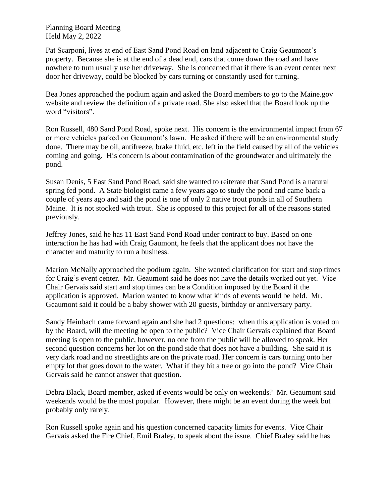Planning Board Meeting Held May 2, 2022

Pat Scarponi, lives at end of East Sand Pond Road on land adjacent to Craig Geaumont's property. Because she is at the end of a dead end, cars that come down the road and have nowhere to turn usually use her driveway. She is concerned that if there is an event center next door her driveway, could be blocked by cars turning or constantly used for turning.

Bea Jones approached the podium again and asked the Board members to go to the Maine.gov website and review the definition of a private road. She also asked that the Board look up the word "visitors".

Ron Russell, 480 Sand Pond Road, spoke next. His concern is the environmental impact from 67 or more vehicles parked on Geaumont's lawn. He asked if there will be an environmental study done. There may be oil, antifreeze, brake fluid, etc. left in the field caused by all of the vehicles coming and going. His concern is about contamination of the groundwater and ultimately the pond.

Susan Denis, 5 East Sand Pond Road, said she wanted to reiterate that Sand Pond is a natural spring fed pond. A State biologist came a few years ago to study the pond and came back a couple of years ago and said the pond is one of only 2 native trout ponds in all of Southern Maine. It is not stocked with trout. She is opposed to this project for all of the reasons stated previously.

Jeffrey Jones, said he has 11 East Sand Pond Road under contract to buy. Based on one interaction he has had with Craig Gaumont, he feels that the applicant does not have the character and maturity to run a business.

Marion McNally approached the podium again. She wanted clarification for start and stop times for Craig's event center. Mr. Geaumont said he does not have the details worked out yet. Vice Chair Gervais said start and stop times can be a Condition imposed by the Board if the application is approved. Marion wanted to know what kinds of events would be held. Mr. Geaumont said it could be a baby shower with 20 guests, birthday or anniversary party.

Sandy Heinbach came forward again and she had 2 questions: when this application is voted on by the Board, will the meeting be open to the public? Vice Chair Gervais explained that Board meeting is open to the public, however, no one from the public will be allowed to speak. Her second question concerns her lot on the pond side that does not have a building. She said it is very dark road and no streetlights are on the private road. Her concern is cars turning onto her empty lot that goes down to the water. What if they hit a tree or go into the pond? Vice Chair Gervais said he cannot answer that question.

Debra Black, Board member, asked if events would be only on weekends? Mr. Geaumont said weekends would be the most popular. However, there might be an event during the week but probably only rarely.

Ron Russell spoke again and his question concerned capacity limits for events. Vice Chair Gervais asked the Fire Chief, Emil Braley, to speak about the issue. Chief Braley said he has